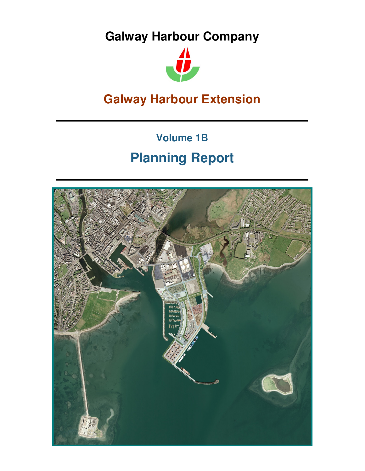**Galway Harbour Company**



# **Galway Harbour Extension**

# **Volume 1B Planning Report**

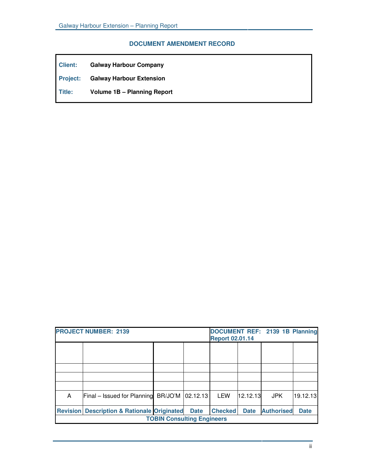# **DOCUMENT AMENDMENT RECORD**

| Client: | <b>Galway Harbour Company</b>            |
|---------|------------------------------------------|
|         | <b>Project:</b> Galway Harbour Extension |
| Title:  | <b>Volume 1B - Planning Report</b>       |

| <b>PROJECT NUMBER: 2139</b>       |                                               |  | DOCUMENT REF: 2139 1B Planning<br><b>Report 02.01.14</b> |                |             |                   |             |
|-----------------------------------|-----------------------------------------------|--|----------------------------------------------------------|----------------|-------------|-------------------|-------------|
|                                   |                                               |  |                                                          |                |             |                   |             |
|                                   |                                               |  |                                                          |                |             |                   |             |
|                                   |                                               |  |                                                          |                |             |                   |             |
|                                   |                                               |  |                                                          |                |             |                   |             |
| A                                 | Final – Issued for Planning BR/JO'M           |  | 02.12.13                                                 | LEW            | 12.12.13    | <b>JPK</b>        | 19.12.13    |
| <b>Revision</b>                   | <b>Description &amp; Rationale Originated</b> |  | <b>Date</b>                                              | <b>Checked</b> | <b>Date</b> | <b>Authorised</b> | <b>Date</b> |
| <b>TOBIN Consulting Engineers</b> |                                               |  |                                                          |                |             |                   |             |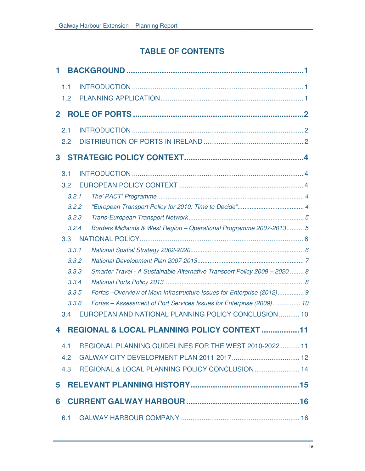# **TABLE OF CONTENTS**

| 1            |                                                                            |  |
|--------------|----------------------------------------------------------------------------|--|
| 1.1          |                                                                            |  |
| 1.2          |                                                                            |  |
| $\mathbf{2}$ |                                                                            |  |
|              |                                                                            |  |
| 2.1          |                                                                            |  |
| 2.2          |                                                                            |  |
| 3            |                                                                            |  |
| 3.1          |                                                                            |  |
| 3.2          |                                                                            |  |
| 3.2.1        |                                                                            |  |
| 3.2.2        |                                                                            |  |
| 3.2.3        |                                                                            |  |
| 3.2.4        | Borders Midlands & West Region - Operational Programme 2007-2013 5         |  |
| 3.3          |                                                                            |  |
| 3.3.1        |                                                                            |  |
| 3.3.2        |                                                                            |  |
| 3.3.3        | Smarter Travel - A Sustainable Alternative Transport Policy 2009 - 2020  8 |  |
| 3.3.4        |                                                                            |  |
| 3.3.5        | Forfas -Overview of Main Infrastructure Issues for Enterprise (2012) 9     |  |
| 3.3.6        | Forfas - Assessment of Port Services Issues for Enterprise (2009) 10       |  |
| 3.4          | EUROPEAN AND NATIONAL PLANNING POLICY CONCLUSION  10                       |  |
| 4            | REGIONAL & LOCAL PLANNING POLICY CONTEXT 11                                |  |
| 4.1          | REGIONAL PLANNING GUIDELINES FOR THE WEST 2010-2022  11                    |  |
| 4.2          |                                                                            |  |
| 4.3          | REGIONAL & LOCAL PLANNING POLICY CONCLUSION 14                             |  |
| 5            |                                                                            |  |
| 6            |                                                                            |  |
| 6.1          |                                                                            |  |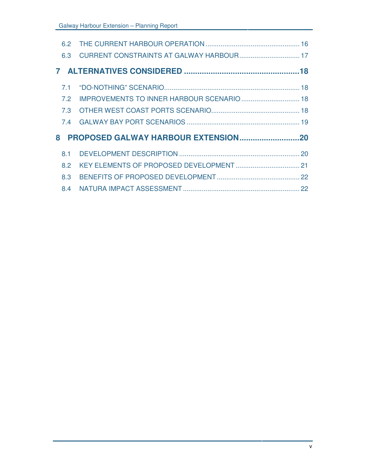| 6.2 |                                     |  |
|-----|-------------------------------------|--|
| 6.3 |                                     |  |
|     |                                     |  |
| 7.1 |                                     |  |
| 7.2 |                                     |  |
| 7.3 |                                     |  |
| 7.4 |                                     |  |
| 8   | PROPOSED GALWAY HARBOUR EXTENSION20 |  |
| 8.1 |                                     |  |
| 8.2 |                                     |  |
| 8.3 |                                     |  |
|     |                                     |  |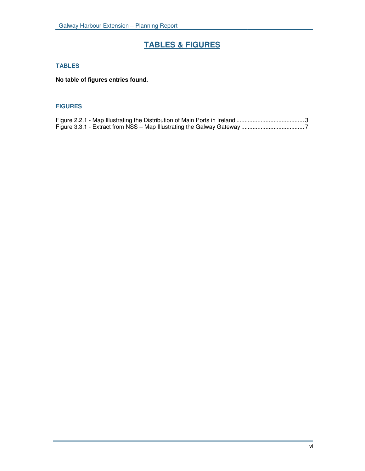# **TABLES & FIGURES**

## **TABLES**

**No table of figures entries found.**

#### **FIGURES**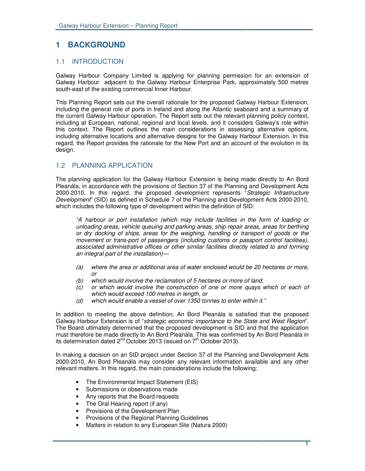# **1 BACKGROUND**

## 1.1 INTRODUCTION

Galway Harbour Company Limited is applying for planning permission for an extension of Galway Harbour adjacent to the Galway Harbour Enterprise Park, approximately 500 metres south-east of the existing commercial Inner Harbour.

This Planning Report sets out the overall rationale for the proposed Galway Harbour Extension, including the general role of ports in Ireland and along the Atlantic seaboard and a summary of the current Galway Harbour operation. The Report sets out the relevant planning policy context, including at European, national, regional and local levels, and it considers Galway's role within this context. The Report outlines the main considerations in assessing alternative options, including alternative locations and alternative designs for the Galway Harbour Extension. In this regard, the Report provides the rationale for the New Port and an account of the evolution in its design.

# 1.2 PLANNING APPLICATION

The planning application for the Galway Harbour Extension is being made directly to An Bord Pleanála, in accordance with the provisions of Section 37 of the Planning and Development Acts 2000-2010. In this regard, the proposed development represents "*Strategic Infrastructure Development*" (SID) as defined in Schedule 7 of the Planning and Development Acts 2000-2010, which includes the following type of development within the definition of SID:

*"A harbour or port installation (which may include facilities in the form of loading or unloading areas, vehicle queuing and parking areas, ship repair areas, areas for berthing or dry docking of ships, areas for the weighing, handling or transport of goods or the movement or trans-port of passengers (including customs or passport control facilities), associated administrative offices or other similar facilities directly related to and forming an integral part of the installation)—*

- *(a) where the area or additional area of water enclosed would be 20 hectares or more, or*
- *(b) which would involve the reclamation of 5 hectares or more of land,*
- *(c) or which would involve the construction of one or more quays which or each of which would exceed 100 metres in length, or*
- *(d) which would enable a vessel of over 1350 tonnes to enter within it."*

In addition to meeting the above definition, An Bord Pleanála is satisfied that the proposed Galway Harbour Extension is of "*strategic economic importance to the State and West Region*". The Board ultimately determined that the proposed development is SID and that the application must therefore be made directly to An Bord Pleanála. This was confirmed by An Bord Pleanála in its determination dated 2<sup>nd</sup> October 2013 (issued on 7<sup>th</sup> October 2013).

In making a decision on an SID project under Section 37 of the Planning and Development Acts 2000-2010, An Bord Pleanála may consider any relevant information available and any other relevant matters. In this regard, the main considerations include the following:

- The Environmental Impact Statement (EIS)
- Submissions or observations made
- Any reports that the Board requests
- The Oral Hearing report (if any)
- Provisions of the Development Plan
- Provisions of the Regional Planning Guidelines
- Matters in relation to any European Site (Natura 2000)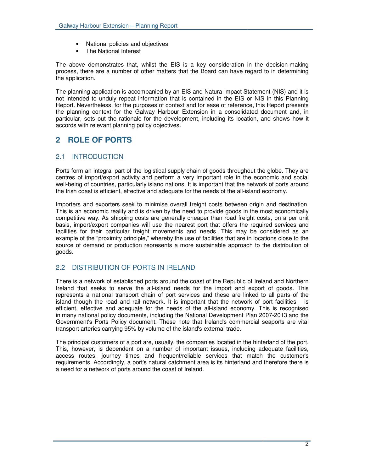- National policies and objectives
- The National Interest

The above demonstrates that, whilst the EIS is a key consideration in the decision-making process, there are a number of other matters that the Board can have regard to in determining the application.

The planning application is accompanied by an EIS and Natura Impact Statement (NIS) and it is not intended to unduly repeat information that is contained in the EIS or NIS in this Planning Report. Nevertheless, for the purposes of context and for ease of reference, this Report presents the planning context for the Galway Harbour Extension in a consolidated document and, in particular, sets out the rationale for the development, including its location, and shows how it accords with relevant planning policy objectives.

# **2 ROLE OF PORTS**

# 2.1 INTRODUCTION

Ports form an integral part of the logistical supply chain of goods throughout the globe. They are centres of import/export activity and perform a very important role in the economic and social well-being of countries, particularly island nations. It is important that the network of ports around the Irish coast is efficient, effective and adequate for the needs of the all-island economy.

Importers and exporters seek to minimise overall freight costs between origin and destination. This is an economic reality and is driven by the need to provide goods in the most economically competitive way. As shipping costs are generally cheaper than road freight costs, on a per unit basis, import/export companies will use the nearest port that offers the required services and facilities for their particular freight movements and needs. This may be considered as an example of the "proximity principle," whereby the use of facilities that are in locations close to the source of demand or production represents a more sustainable approach to the distribution of goods.

# 2.2 DISTRIBUTION OF PORTS IN IRELAND

There is a network of established ports around the coast of the Republic of Ireland and Northern Ireland that seeks to serve the all-island needs for the import and export of goods. This represents a national transport chain of port services and these are linked to all parts of the island though the road and rail network. It is important that the network of port facilities is efficient, effective and adequate for the needs of the all-island economy. This is recognised in many national policy documents, including the National Development Plan 2007-2013 and the Government's Ports Policy document. These note that Ireland's commercial seaports are vital transport arteries carrying 95% by volume of the island's external trade.

The principal customers of a port are, usually, the companies located in the hinterland of the port. This, however, is dependent on a number of important issues, including adequate facilities, access routes, journey times and frequent/reliable services that match the customer's requirements. Accordingly, a port's natural catchment area is its hinterland and therefore there is a need for a network of ports around the coast of Ireland.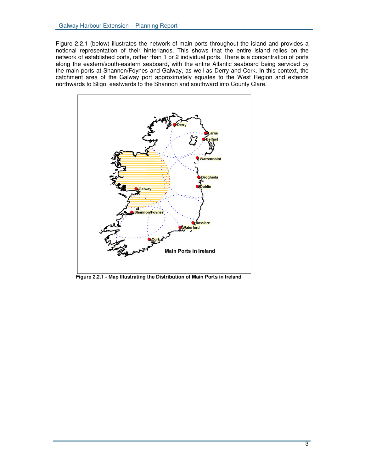Figure 2.2.1 (below) illustrates the network of main ports throughout the island and provides a notional representation of their hinterlands. This shows that the entire island relies on the network of established ports, rather than 1 or 2 individual ports. There is a concentration of ports along the eastern/south-eastern seaboard, with the entire Atlantic seaboard being serviced by the main ports at Shannon/Foynes and Galway, as well as Derry and Cork. In this context, the catchment area of the Galway port approximately equates to the West Region and extends northwards to Sligo, eastwards to the Shannon and southward into County Clare.



**Figure 2.2.1 - Map Illustrating the Distribution of Main Ports in Ireland**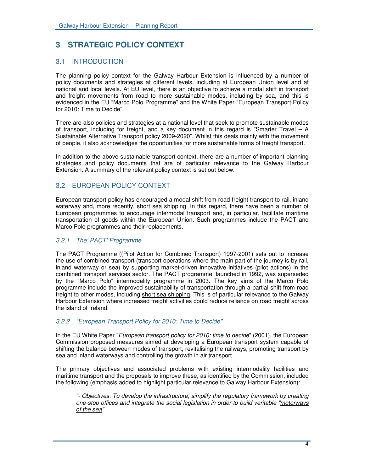# **3 STRATEGIC POLICY CONTEXT**

## 3.1 INTRODUCTION

The planning policy context for the Galway Harbour Extension is influenced by a number of policy documents and strategies at different levels, including at European Union level and at national and local levels. At EU level, there is an objective to achieve a modal shift in transport and freight movements from road to more sustainable modes, including by sea, and this is evidenced in the EU "Marco Polo Programme" and the White Paper "European Transport Policy for 2010: Time to Decide".

There are also policies and strategies at a national level that seek to promote sustainable modes of transport, including for freight, and a key document in this regard is "Smarter Travel – A Sustainable Alternative Transport policy 2009-2020". Whilst this deals mainly with the movement of people, it also acknowledges the opportunities for more sustainable forms of freight transport.

In addition to the above sustainable transport context, there are a number of important planning strategies and policy documents that are of particular relevance to the Galway Harbour Extension. A summary of the relevant policy context is set out below.

# 3.2 EUROPEAN POLICY CONTEXT

European transport policy has encouraged a modal shift from road freight transport to rail, inland waterway and, more recently, short sea shipping. In this regard, there have been a number of European programmes to encourage intermodal transport and, in particular, facilitate maritime transportation of goods within the European Union. Such programmes include the PACT and Marco Polo programmes and their replacements.

## *3.2.1 The' PACT' Programme*

The PACT Programme ((Pilot Action for Combined Transport) 1997-2001) sets out to increase the use of combined transport (transport operations where the main part of the journey is by rail, inland waterway or sea) by supporting market-driven innovative initiatives (pilot actions) in the combined transport services sector. The PACT programme, launched in 1992, was superseded by the "Marco Polo" intermodality programme in 2003. The key aims of the Marco Polo programme include the improved sustainability of transportation through a partial shift from road freight to other modes, including short sea shipping. This is of particular relevance to the Galway Harbour Extension where increased freight activities could reduce reliance on road freight across the island of Ireland.

#### *3.2.2 "European Transport Policy for 2010: Time to Decide"*

In the EU White Paper "*European transport policy for 2010: time to decide*" (2001), the European Commission proposed measures aimed at developing a European transport system capable of shifting the balance between modes of transport, revitalising the railways, promoting transport by sea and inland waterways and controlling the growth in air transport.

The primary objectives and associated problems with existing intermodality facilities and maritime transport and the proposals to improve these, as identified by the Commission, included the following (emphasis added to highlight particular relevance to Galway Harbour Extension):

*"- Objectives: To develop the infrastructure, simplify the regulatory framework by creating one-stop offices and integrate the social legislation in order to build veritable "motorways of the sea"*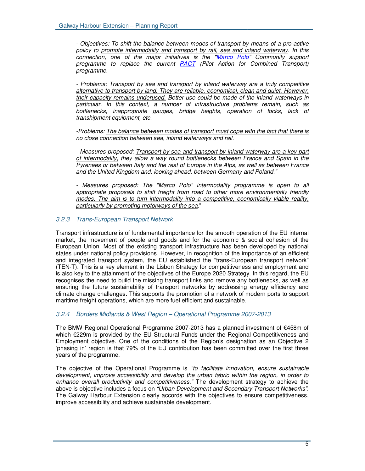*- Objectives: To shift the balance between modes of transport by means of a pro-active policy to promote intermodality and transport by rail, sea and inland waterway. In this connection, one of the major initiatives is the "Marco Polo" Community support programme to replace the current PACT (Pilot Action for Combined Transport) programme.*

*- Problems: Transport by sea and transport by inland waterway are a truly competitive alternative to transport by land. They are reliable, economical, clean and quiet. However, their capacity remains underused. Better use could be made of the inland waterways in particular. In this context, a number of infrastructure problems remain, such as bottlenecks, inappropriate gauges, bridge heights, operation of locks, lack of transhipment equipment, etc.*

*-Problems: The balance between modes of transport must cope with the fact that there is no close connection between sea, inland waterways and rail.*

*- Measures proposed: Transport by sea and transport by inland waterway are a key part of intermodality, they allow a way round bottlenecks between France and Spain in the Pyrenees or between Italy and the rest of Europe in the Alps, as well as between France and the United Kingdom and, looking ahead, between Germany and Poland."*

*- Measures proposed: The "Marco Polo" intermodality programme is open to all appropriate proposals to shift freight from road to other more environmentally friendly modes. The aim is to turn intermodality into a competitive, economically viable reality, particularly by promoting motorways of the sea.*"

#### *3.2.3 Trans-European Transport Network*

Transport infrastructure is of fundamental importance for the smooth operation of the EU internal market, the movement of people and goods and for the economic & social cohesion of the European Union. Most of the existing transport infrastructure has been developed by national states under national policy provisions. However, in recognition of the importance of an efficient and integrated transport system, the EU established the "trans-European transport network" (TEN-T). This is a key element in the Lisbon Strategy for competitiveness and employment and is also key to the attainment of the objectives of the Europe 2020 Strategy. In this regard, the EU recognises the need to build the missing transport links and remove any bottlenecks, as well as ensuring the future sustainability of transport networks by addressing energy efficiency and climate change challenges. This supports the promotion of a network of modern ports to support maritime freight operations, which are more fuel efficient and sustainable.

#### *3.2.4 Borders Midlands & West Region – Operational Programme 2007-2013*

The BMW Regional Operational Programme 2007-2013 has a planned investment of €458m of which €229m is provided by the EU Structural Funds under the Regional Competitiveness and Employment objective. One of the conditions of the Region's designation as an Objective 2 'phasing in' region is that 79% of the EU contribution has been committed over the first three years of the programme.

The objective of the Operational Programme is *"to facilitate innovation, ensure sustainable development, improve accessibility and develop the urban fabric within the region, in order to enhance overall productivity and competitiveness."* The development strategy to achieve the above is objective includes a focus on *"Urban Development and Secondary Transport Networks".* The Galway Harbour Extension clearly accords with the objectives to ensure competitiveness, improve accessibility and achieve sustainable development.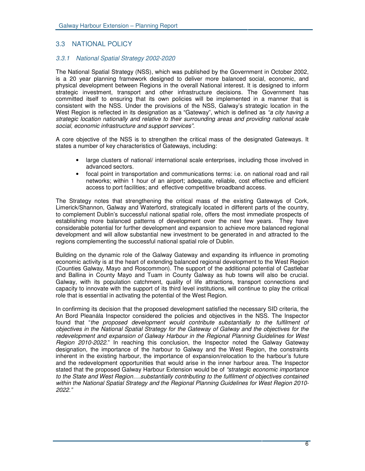## 3.3 NATIONAL POLICY

#### *3.3.1 National Spatial Strategy 2002-2020*

The National Spatial Strategy (NSS), which was published by the Government in October 2002, is a 20 year planning framework designed to deliver more balanced social, economic, and physical development between Regions in the overall National interest. It is designed to inform strategic investment, transport and other infrastructure decisions. The Government has committed itself to ensuring that its own policies will be implemented in a manner that is consistent with the NSS. Under the provisions of the NSS, Galway's strategic location in the West Region is reflected in its designation as a "Gateway", which is defined as *"a city having a strategic location nationally and relative to their surrounding areas and providing national scale social, economic infrastructure and support services".*

A core objective of the NSS is to strengthen the critical mass of the designated Gateways. It states a number of key characteristics of Gateways, including:

- large clusters of national/ international scale enterprises, including those involved in advanced sectors.
- focal point in transportation and communications terms: i.e. on national road and rail networks; within 1 hour of an airport; adequate, reliable, cost effective and efficient access to port facilities; and effective competitive broadband access.

The Strategy notes that strengthening the critical mass of the existing Gateways of Cork, Limerick/Shannon, Galway and Waterford, strategically located in different parts of the country, to complement Dublin's successful national spatial role, offers the most immediate prospects of establishing more balanced patterns of development over the next few years. They have considerable potential for further development and expansion to achieve more balanced regional development and will allow substantial new investment to be generated in and attracted to the regions complementing the successful national spatial role of Dublin.

Building on the dynamic role of the Galway Gateway and expanding its influence in promoting economic activity is at the heart of extending balanced regional development to the West Region (Counties Galway, Mayo and Roscommon). The support of the additional potential of Castlebar and Ballina in County Mayo and Tuam in County Galway as hub towns will also be crucial. Galway, with its population catchment, quality of life attractions, transport connections and capacity to innovate with the support of its third level institutions, will continue to play the critical role that is essential in activating the potential of the West Region.

In confirming its decision that the proposed development satisfied the necessary SID criteria, the An Bord Pleanála Inspector considered the policies and objectives in the NSS. The Inspector found that "*the proposed development would contribute substantially to the fulfilment of objectives in the National Spatial Strategy for the Gateway of Galway and the objectives for the redevelopment and expansion of Galway Harbour in the Regional Planning Guidelines for West Region 2010-2022*." In reaching this conclusion, the Inspector noted the Galway Gateway designation, the importance of the harbour to Galway and the West Region, the constraints inherent in the existing harbour, the importance of expansion/relocation to the harbour's future and the redevelopment opportunities that would arise in the inner harbour area. The Inspector stated that the proposed Galway Harbour Extension would be of *"strategic economic importance to the State and West Region….substantially contributing to the fulfilment of objectives contained within the National Spatial Strategy and the Regional Planning Guidelines for West Region 2010- 2022."*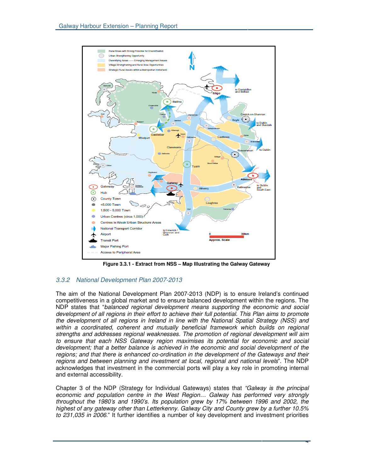

**Figure 3.3.1 - Extract from NSS – Map Illustrating the Galway Gateway**

#### *3.3.2 National Development Plan 2007-2013*

The aim of the National Development Plan 2007-2013 (NDP) is to ensure Ireland's continued competitiveness in a global market and to ensure balanced development within the regions. The NDP states that "*balanced regional development means supporting the economic and social development of all regions in their effort to achieve their full potential. This Plan aims to promote the development of all regions in Ireland in line with the National Spatial Strategy (NSS) and within a coordinated, coherent and mutually beneficial framework which builds on regional strengths and addresses regional weaknesses. The promotion of regional development will aim to ensure that each NSS Gateway region maximises its potential for economic and social development; that a better balance is achieved in the economic and social development of the regions; and that there is enhanced co-ordination in the development of the Gateways and their regions and between planning and investment at local, regional and national levels*". The NDP acknowledges that investment in the commercial ports will play a key role in promoting internal and external accessibility.

Chapter 3 of the NDP (Strategy for Individual Gateways) states that *"Galway is the principal economic and population centre in the West Region… Galway has performed very strongly throughout the 1980's and 1990's. Its population grew by 17% between 1996 and 2002, the highest of any gateway other than Letterkenny. Galway City and County grew by a further 10.5% to 231,035 in 2006*." It further identifies a number of key development and investment priorities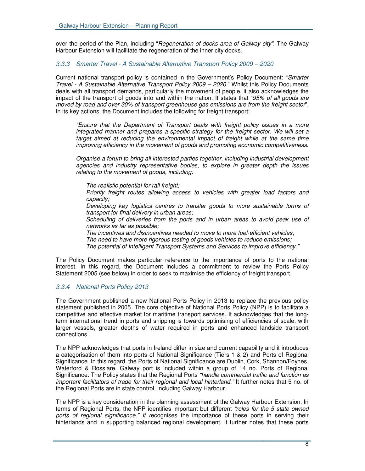over the period of the Plan, including "*Regeneration of docks area of Galway city".* The Galway Harbour Extension will facilitate the regeneration of the inner city docks.

#### *3.3.3 Smarter Travel - A Sustainable Alternative Transport Policy 2009 – 2020*

Current national transport policy is contained in the Government's Policy Document: "*Smarter Travel - A Sustainable Alternative Transport Policy 2009 – 2020*." Whilst this Policy Documents deals with all transport demands, particularly the movement of people, it also acknowledges the impact of the transport of goods into and within the nation. It states that "*95% of all goods are moved by road and over 30% of transport greenhouse gas emissions are from the freight sector*". In its key actions, the Document includes the following for freight transport:

*"Ensure that the Department of Transport deals with freight policy issues in a more integrated manner and prepares a specific strategy for the freight sector. We will set a target aimed at reducing the environmental impact of freight while at the same time improving efficiency in the movement of goods and promoting economic competitiveness.*

*Organise a forum to bring all interested parties together, including industrial development agencies and industry representative bodies, to explore in greater depth the issues relating to the movement of goods, including:*

• *The realistic potential for rail freight;*

• *Priority freight routes allowing access to vehicles with greater load factors and capacity;*

• *Developing key logistics centres to transfer goods to more sustainable forms of transport for final delivery in urban areas;*

• *Scheduling of deliveries from the ports and in urban areas to avoid peak use of networks as far as possible;*

• *The incentives and disincentives needed to move to more fuel-efficient vehicles;*

*The need to have more rigorous testing of goods vehicles to reduce emissions;*

*The potential of Intelligent Transport Systems and Services to improve efficiency."*

The Policy Document makes particular reference to the importance of ports to the national interest. In this regard, the Document includes a commitment to review the Ports Policy Statement 2005 (see below) in order to seek to maximise the efficiency of freight transport.

#### *3.3.4 National Ports Policy 2013*

The Government published a new National Ports Policy in 2013 to replace the previous policy statement published in 2005. The core objective of National Ports Policy (NPP) is to facilitate a competitive and effective market for maritime transport services. It acknowledges that the longterm international trend in ports and shipping is towards optimising of efficiencies of scale, with larger vessels, greater depths of water required in ports and enhanced landside transport connections.

The NPP acknowledges that ports in Ireland differ in size and current capability and it introduces a categorisation of them into ports of National Significance (Tiers 1 & 2) and Ports of Regional Significance. In this regard, the Ports of National Significance are Dublin, Cork, Shannon/Foynes, Waterford & Rosslare. Galway port is included within a group of 14 no. Ports of Regional Significance. The Policy states that the Regional Ports *"handle commercial traffic and function as important facilitators of trade for their regional and local hinterland."* It further notes that 5 no. of the Regional Ports are in state control, including Galway Harbour.

The NPP is a key consideration in the planning assessment of the Galway Harbour Extension. In terms of Regional Ports, the NPP identifies important but different *"roles for the 5 state owned ports of regional significance." It r*ecognises the importance of these ports in serving their hinterlands and in supporting balanced regional development. It further notes that these ports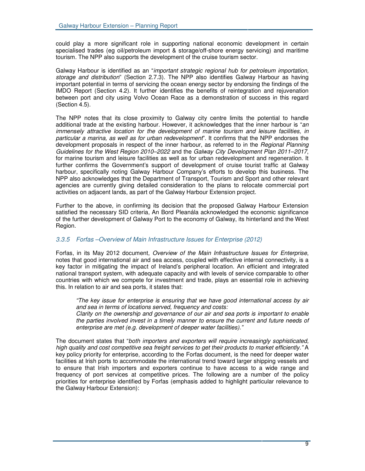could play a more significant role in supporting national economic development in certain specialised trades (eg oil/petroleum import & storage/off-shore energy servicing) and maritime tourism. The NPP also supports the development of the cruise tourism sector.

Galway Harbour is identified as an "*important strategic regional hub for petroleum importation, storage and distribution*" (Section 2.7.3). The NPP also identifies Galway Harbour as having important potential in terms of servicing the ocean energy sector by endorsing the findings of the IMDO Report (Section 4.2). It further identifies the benefits of reintegration and rejuvenation between port and city using Volvo Ocean Race as a demonstration of success in this regard (Section 4.5).

The NPP notes that its close proximity to Galway city centre limits the potential to handle additional trade at the existing harbour. However, it acknowledges that the inner harbour is "*an immensely attractive location for the development of marine tourism and leisure facilities, in particular a marina, as well as for urban redevelopment*". It confirms that the NPP endorses the development proposals in respect of the inner harbour, as referred to in the *Regional Planning Guidelines for the West Region 2010–2022* and the *Galway City Development Plan 2011–2017*, for marine tourism and leisure facilities as well as for urban redevelopment and regeneration. It further confirms the Government's support of development of cruise tourist traffic at Galway harbour, specifically noting Galway Harbour Company's efforts to develop this business. The NPP also acknowledges that the Department of Transport, Tourism and Sport and other relevant agencies are currently giving detailed consideration to the plans to relocate commercial port activities on adjacent lands, as part of the Galway Harbour Extension project.

Further to the above, in confirming its decision that the proposed Galway Harbour Extension satisfied the necessary SID criteria, An Bord Pleanála acknowledged the economic significance of the further development of Galway Port to the economy of Galway, its hinterland and the West Region.

#### *3.3.5 Forfas –Overview of Main Infrastructure Issues for Enterprise (2012)*

Forfas, in its May 2012 document, *Overview of the Main Infrastructure Issues for Enterprise*, notes that good international air and sea access, coupled with effective internal connectivity, is a key factor in mitigating the impact of Ireland's peripheral location. An efficient and integrated national transport system, with adequate capacity and with levels of service comparable to other countries with which we compete for investment and trade, plays an essential role in achieving this. In relation to air and sea ports, it states that:

*"The key issue for enterprise is ensuring that we have good international access by air and sea in terms of locations served, frequency and costs: Clarity on the ownership and governance of our air and sea ports is important to enable the parties involved invest in a timely manner to ensure the current and future needs of enterprise are met (e.g. development of deeper water facilities)."*

The document states that "*both importers and exporters will require increasingly sophisticated, high quality and cost competitive sea freight services to get their products to market efficiently."* A key policy priority for enterprise, according to the Forfas document, is the need for deeper water facilities at Irish ports to accommodate the international trend toward larger shipping vessels and to ensure that Irish importers and exporters continue to have access to a wide range and frequency of port services at competitive prices. The following are a number of the policy priorities for enterprise identified by Forfas (emphasis added to highlight particular relevance to the Galway Harbour Extension):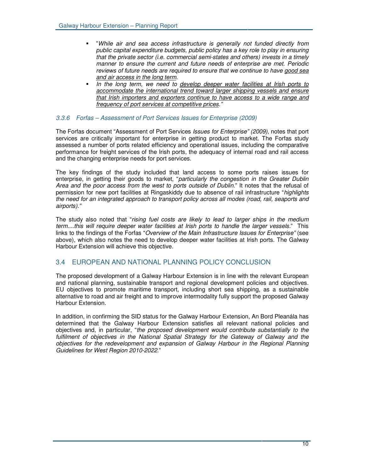- "*While air and sea access infrastructure is generally not funded directly from public capital expenditure budgets, public policy has a key role to play in ensuring that the private sector (i.e. commercial semi-states and others) invests in a timely manner to ensure the current and future needs of enterprise are met. Periodic reviews of future needs are required to ensure that we continue to have good sea and air access in the long term.*
- *In the long term, we need to develop deeper water facilities at Irish ports to accommodate the international trend toward larger shipping vessels and ensure that Irish importers and exporters continue to have access to a wide range and frequency of port services at competitive prices."*

#### *3.3.6 Forfas – Assessment of Port Services Issues for Enterprise (2009)*

The Forfas document "Assessment of Port Services *Issues for Enterprise" (2009)*, notes that port services are critically important for enterprise in getting product to market. The Forfas study assessed a number of ports related efficiency and operational issues, including the comparative performance for freight services of the Irish ports, the adequacy of internal road and rail access and the changing enterprise needs for port services.

The key findings of the study included that land access to some ports raises issues for enterprise, in getting their goods to market, "*particularly the congestion in the Greater Dublin Area and the poor access from the west to ports outside of Dublin*." It notes that the refusal of permission for new port facilities at Ringaskiddy due to absence of rail infrastructure "*highlights the need for an integrated approach to transport policy across all modes (road, rail, seaports and airports)."*

The study also noted that "*rising fuel costs are likely to lead to larger ships in the medium term....this will require deeper water facilities at Irish ports to handle the larger vessels.*" This links to the findings of the Forfas "*Overview of the Main Infrastructure Issues for Enterprise"* (see above), which also notes the need to develop deeper water facilities at Irish ports. The Galway Harbour Extension will achieve this objective.

#### 3.4 EUROPEAN AND NATIONAL PLANNING POLICY CONCLUSION

The proposed development of a Galway Harbour Extension is in line with the relevant European and national planning, sustainable transport and regional development policies and objectives. EU objectives to promote maritime transport, including short sea shipping, as a sustainable alternative to road and air freight and to improve intermodality fully support the proposed Galway Harbour Extension.

In addition, in confirming the SID status for the Galway Harbour Extension, An Bord Pleanála has determined that the Galway Harbour Extension satisfies all relevant national policies and objectives and, in particular, "*the proposed development would contribute substantially to the fulfilment of objectives in the National Spatial Strategy for the Gateway of Galway and the objectives for the redevelopment and expansion of Galway Harbour in the Regional Planning Guidelines for West Region 2010-2022*."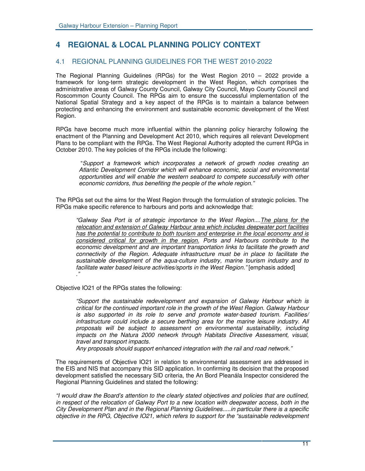# **4 REGIONAL & LOCAL PLANNING POLICY CONTEXT**

## 4.1 REGIONAL PLANNING GUIDELINES FOR THE WEST 2010-2022

The Regional Planning Guidelines (RPGs) for the West Region 2010 – 2022 provide a framework for long-term strategic development in the West Region, which comprises the administrative areas of Galway County Council, Galway City Council, Mayo County Council and Roscommon County Council. The RPGs aim to ensure the successful implementation of the National Spatial Strategy and a key aspect of the RPGs is to maintain a balance between protecting and enhancing the environment and sustainable economic development of the West Region.

RPGs have become much more influential within the planning policy hierarchy following the enactment of the Planning and Development Act 2010, which requires all relevant Development Plans to be compliant with the RPGs. The West Regional Authority adopted the current RPGs in October 2010. The key policies of the RPGs include the following:

"*Support a framework which incorporates a network of growth nodes creating an Atlantic Development Corridor which will enhance economic, social and environmental opportunities and will enable the western seaboard to compete successfully with other economic corridors, thus benefiting the people of the whole region."*

The RPGs set out the aims for the West Region through the formulation of strategic policies. The RPGs make specific reference to harbours and ports and acknowledge that:

*"Galway Sea Port is of strategic importance to the West Region....The plans for the relocation and extension of Galway Harbour area which includes deepwater port facilities has the potential to contribute to both tourism and enterprise in the local economy and is considered critical for growth in the region. Ports and Harbours contribute to the economic development and are important transportation links to facilitate the growth and connectivity of the Region. Adequate infrastructure must be in place to facilitate the sustainable development of the aqua-culture industry, marine tourism industry and to facilitate water based leisure activities/sports in the West Region."* [emphasis added] *."*

Objective IO21 of the RPGs states the following:

*"Support the sustainable redevelopment and expansion of Galway Harbour which is critical for the continued important role in the growth of the West Region. Galway Harbour is also supported in its role to serve and promote water-based tourism. Facilities/ infrastructure could include a secure berthing area for the marine leisure industry. All proposals will be subject to assessment on environmental sustainability, including impacts on the Natura 2000 network through Habitats Directive Assessment, visual, travel and transport impacts.*

*Any proposals should support enhanced integration with the rail and road network."*

The requirements of Objective IO21 in relation to environmental assessment are addressed in the EIS and NIS that accompany this SID application. In confirming its decision that the proposed development satisfied the necessary SID criteria, the An Bord Pleanála Inspector considered the Regional Planning Guidelines and stated the following:

*"I would draw the Board's attention to the clearly stated objectives and policies that are outlined, in respect of the relocation of Galway Port to a new location with deepwater access, both in the City Development Plan and in the Regional Planning Guidelines.....in particular there is a specific objective in the RPG, Objective IO21, which refers to support for the "sustainable redevelopment*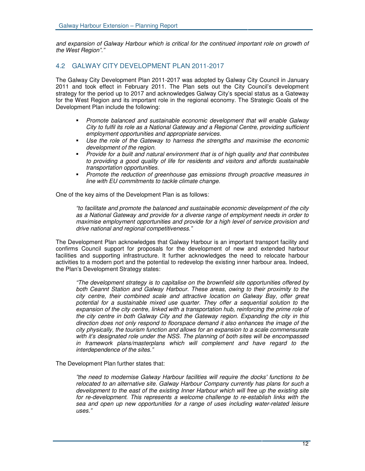*and expansion of Galway Harbour which is critical for the continued important role on growth of the West Region"."*

### 4.2 GALWAY CITY DEVELOPMENT PLAN 2011-2017

The Galway City Development Plan 2011-2017 was adopted by Galway City Council in January 2011 and took effect in February 2011. The Plan sets out the City Council's development strategy for the period up to 2017 and acknowledges Galway City's special status as a Gateway for the West Region and its important role in the regional economy. The Strategic Goals of the Development Plan include the following:

- *Promote balanced and sustainable economic development that will enable Galway City to fulfil its role as a National Gateway and a Regional Centre, providing sufficient employment opportunities and appropriate services.*
- *Use the role of the Gateway to harness the strengths and maximise the economic development of the region.*
- *Provide for a built and natural environment that is of high quality and that contributes to providing a good quality of life for residents and visitors and affords sustainable transportation opportunities.*
- *Promote the reduction of greenhouse gas emissions through proactive measures in line with EU commitments to tackle climate change.*

One of the key aims of the Development Plan is as follows:

*"to facilitate and promote the balanced and sustainable economic development of the city as a National Gateway and provide for a diverse range of employment needs in order to maximise employment opportunities and provide for a high level of service provision and drive national and regional competitiveness."*

The Development Plan acknowledges that Galway Harbour is an important transport facility and confirms Council support for proposals for the development of new and extended harbour facilities and supporting infrastructure. It further acknowledges the need to relocate harbour activities to a modern port and the potential to redevelop the existing inner harbour area. Indeed, the Plan's Development Strategy states:

*"The development strategy is to capitalise on the brownfield site opportunities offered by both Ceannt Station and Galway Harbour. These areas, owing to their proximity to the city centre, their combined scale and attractive location on Galway Bay, offer great potential for a sustainable mixed use quarter. They offer a sequential solution to the expansion of the city centre, linked with a transportation hub, reinforcing the prime role of the city centre in both Galway City and the Gateway region. Expanding the city in this direction does not only respond to floorspace demand it also enhances the image of the city physically, the tourism function and allows for an expansion to a scale commensurate with it's designated role under the NSS. The planning of both sites will be encompassed in framework plans/masterplans which will complement and have regard to the interdependence of the sites."*

The Development Plan further states that:

*"the need to modernise Galway Harbour facilities will require the docks'functions to be relocated to an alternative site. Galway Harbour Company currently has plans for such a development to the east of the existing Inner Harbour which will free up the existing site for re-development. This represents a welcome challenge to re-establish links with the sea and open up new opportunities for a range of uses including water-related leisure uses."*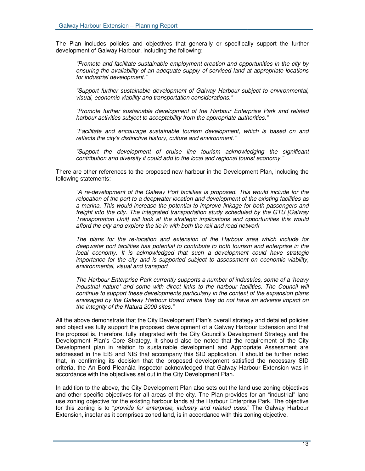The Plan includes policies and objectives that generally or specifically support the further development of Galway Harbour, including the following:

*"Promote and facilitate sustainable employment creation and opportunities in the city by ensuring the availability of an adequate supply of serviced land at appropriate locations for industrial development."*

*"Support further sustainable development of Galway Harbour subject to environmental, visual, economic viability and transportation considerations."*

*"Promote further sustainable development of the Harbour Enterprise Park and related harbour activities subject to acceptability from the appropriate authorities."*

*"Facilitate and encourage sustainable tourism development, which is based on and reflects the city's distinctive history, culture and environment."*

*"Support the development of cruise line tourism acknowledging the significant contribution and diversity it could add to the local and regional tourist economy."*

There are other references to the proposed new harbour in the Development Plan, including the following statements:

*"A re-development of the Galway Port facilities is proposed. This would include for the relocation of the port to a deepwater location and development of the existing facilities as a marina. This would increase the potential to improve linkage for both passengers and freight into the city. The integrated transportation study scheduled by the GTU [Galway Transportation Unit] will look at the strategic implications and opportunities this would afford the city and explore the tie in with both the rail and road network*

*The plans for the re-location and extension of the Harbour area which include for deepwater port facilities has potential to contribute to both tourism and enterprise in the local economy. It is acknowledged that such a development could have strategic importance for the city and is supported subject to assessment on economic viability, environmental, visual and transport*

*The Harbour Enterprise Park currently supports a number of industries, some of a 'heavy industrial nature' and some with direct links to the harbour facilities. The Council will continue to support these developments particularly in the context of the expansion plans envisaged by the Galway Harbour Board where they do not have an adverse impact on the integrity of the Natura 2000 sites."*

All the above demonstrate that the City Development Plan's overall strategy and detailed policies and objectives fully support the proposed development of a Galway Harbour Extension and that the proposal is, therefore, fully integrated with the City Council's Development Strategy and the Development Plan's Core Strategy. It should also be noted that the requirement of the City Development plan in relation to sustainable development and Appropriate Assessment are addressed in the EIS and NIS that accompany this SID application. It should be further noted that, in confirming its decision that the proposed development satisfied the necessary SID criteria, the An Bord Pleanála Inspector acknowledged that Galway Harbour Extension was in accordance with the objectives set out in the City Development Plan.

In addition to the above, the City Development Plan also sets out the land use zoning objectives and other specific objectives for all areas of the city. The Plan provides for an "industrial" land use zoning objective for the existing harbour lands at the Harbour Enterprise Park. The objective for this zoning is to "*provide for enterprise, industry and related uses*." The Galway Harbour Extension, insofar as it comprises zoned land, is in accordance with this zoning objective.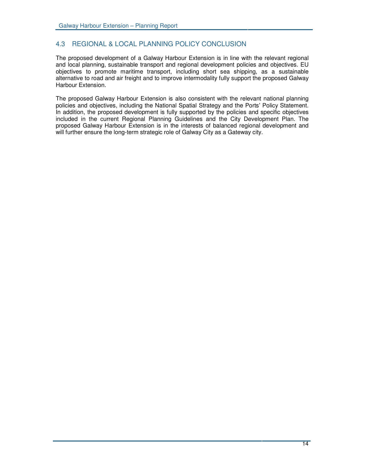# 4.3 REGIONAL & LOCAL PLANNING POLICY CONCLUSION

The proposed development of a Galway Harbour Extension is in line with the relevant regional and local planning, sustainable transport and regional development policies and objectives. EU objectives to promote maritime transport, including short sea shipping, as a sustainable alternative to road and air freight and to improve intermodality fully support the proposed Galway Harbour Extension.

The proposed Galway Harbour Extension is also consistent with the relevant national planning policies and objectives, including the National Spatial Strategy and the Ports' Policy Statement. In addition, the proposed development is fully supported by the policies and specific objectives included in the current Regional Planning Guidelines and the City Development Plan. The proposed Galway Harbour Extension is in the interests of balanced regional development and will further ensure the long-term strategic role of Galway City as a Gateway city.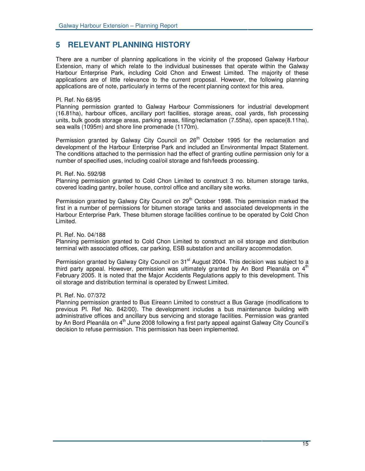# **5 RELEVANT PLANNING HISTORY**

There are a number of planning applications in the vicinity of the proposed Galway Harbour Extension, many of which relate to the individual businesses that operate within the Galway Harbour Enterprise Park, including Cold Chon and Enwest Limited. The majority of these applications are of little relevance to the current proposal. However, the following planning applications are of note, particularly in terms of the recent planning context for this area.

#### Pl. Ref. No 68/95

Planning permission granted to Galway Harbour Commissioners for industrial development (16.81ha), harbour offices, ancillary port facilities, storage areas, coal yards, fish processing units, bulk goods storage areas, parking areas, filling/reclamation (7.55ha), open space(8.11ha), sea walls (1095m) and shore line promenade (1170m).

Permission granted by Galway City Council on 26<sup>th</sup> October 1995 for the reclamation and development of the Harbour Enterprise Park and included an Environmental Impact Statement. The conditions attached to the permission had the effect of granting outline permission only for a number of specified uses, including coal/oil storage and fish/feeds processing.

#### Pl. Ref. No. 592/98

Planning permission granted to Cold Chon Limited to construct 3 no. bitumen storage tanks, covered loading gantry, boiler house, control office and ancillary site works.

Permission granted by Galway City Council on 29<sup>th</sup> October 1998. This permission marked the first in a number of permissions for bitumen storage tanks and associated developments in the Harbour Enterprise Park. These bitumen storage facilities continue to be operated by Cold Chon Limited.

#### Pl. Ref. No. 04/188

Planning permission granted to Cold Chon Limited to construct an oil storage and distribution terminal with associated offices, car parking, ESB substation and ancillary accommodation.

Permission granted by Galway City Council on 31<sup>st</sup> August 2004. This decision was subject to a third party appeal. However, permission was ultimately granted by An Bord Pleanála on 4<sup>th</sup> February 2005. It is noted that the Major Accidents Regulations apply to this development. This oil storage and distribution terminal is operated by Enwest Limited.

#### Pl. Ref. No. 07/372

Planning permission granted to Bus Eireann Limited to construct a Bus Garage (modifications to previous Pl. Ref No. 842/00). The development includes a bus maintenance building with administrative offices and ancillary bus servicing and storage facilities. Permission was granted by An Bord Pleanála on 4<sup>th</sup> June 2008 following a first party appeal against Galway City Council's decision to refuse permission. This permission has been implemented.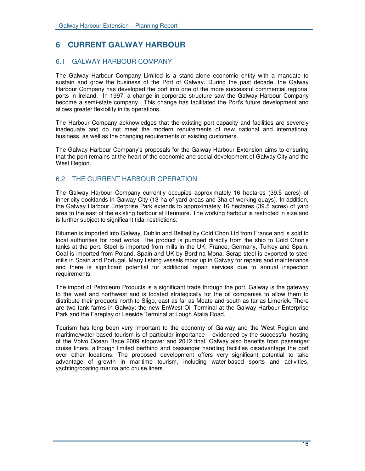# **6 CURRENT GALWAY HARBOUR**

## 6.1 GALWAY HARBOUR COMPANY

The Galway Harbour Company Limited is a stand-alone economic entity with a mandate to sustain and grow the business of the Port of Galway. During the past decade, the Galway Harbour Company has developed the port into one of the more successful commercial regional ports in Ireland. In 1997, a change in corporate structure saw the Galway Harbour Company become a semi-state company. This change has facilitated the Port's future development and allows greater flexibility in its operations.

The Harbour Company acknowledges that the existing port capacity and facilities are severely inadequate and do not meet the modern requirements of new national and international business, as well as the changing requirements of existing customers.

The Galway Harbour Company's proposals for the Galway Harbour Extension aims to ensuring that the port remains at the heart of the economic and social development of Galway City and the West Region.

# 6.2 THE CURRENT HARBOUR OPERATION

The Galway Harbour Company currently occupies approximately 16 hectares (39.5 acres) of inner city docklands in Galway City (13 ha of yard areas and 3ha of working quays). In addition, the Galway Harbour Enterprise Park extends to approximately 16 hectares (39.5 acres) of yard area to the east of the existing harbour at Renmore. The working harbour is restricted in size and is further subject to significant tidal restrictions.

Bitumen is imported into Galway, Dublin and Belfast by Cold Chon Ltd from France and is sold to local authorities for road works. The product is pumped directly from the ship to Cold Chon's tanks at the port. Steel is imported from mills in the UK, France, Germany, Turkey and Spain. Coal is imported from Poland, Spain and UK by Bord na Mona. Scrap steel is exported to steel mills in Spain and Portugal. Many fishing vessels moor up in Galway for repairs and maintenance and there is significant potential for additional repair services due to annual inspection requirements.

The import of Petroleum Products is a significant trade through the port. Galway is the gateway to the west and northwest and is located strategically for the oil companies to allow them to distribute their products north to Sligo, east as far as Moate and south as far as Limerick. There are two tank farms in Galway: the new EnWest Oil Terminal at the Galway Harbour Enterprise Park and the Fareplay or Leeside Terminal at Lough Atalia Road.

Tourism has long been very important to the economy of Galway and the West Region and maritime/water-based tourism is of particular importance – evidenced by the successful hosting of the Volvo Ocean Race 2009 stopover and 2012 final. Galway also benefits from passenger cruise liners, although limited berthing and passenger handling facilities disadvantage the port over other locations. The proposed development offers very significant potential to take advantage of growth in maritime tourism, including water-based sports and activities, yachting/boating marina and cruise liners.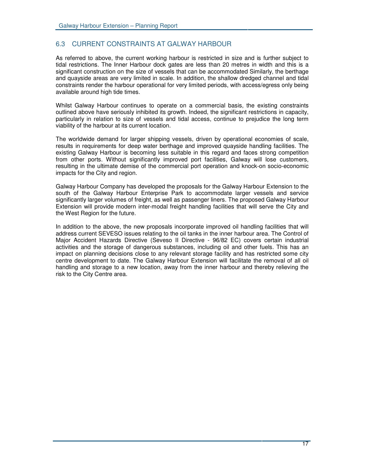# 6.3 CURRENT CONSTRAINTS AT GALWAY HARBOUR

As referred to above, the current working harbour is restricted in size and is further subject to tidal restrictions. The Inner Harbour dock gates are less than 20 metres in width and this is a significant construction on the size of vessels that can be accommodated Similarly, the berthage and quayside areas are very limited in scale. In addition, the shallow dredged channel and tidal constraints render the harbour operational for very limited periods, with access/egress only being available around high tide times.

Whilst Galway Harbour continues to operate on a commercial basis, the existing constraints outlined above have seriously inhibited its growth. Indeed, the significant restrictions in capacity, particularly in relation to size of vessels and tidal access, continue to prejudice the long term viability of the harbour at its current location.

The worldwide demand for larger shipping vessels, driven by operational economies of scale, results in requirements for deep water berthage and improved quayside handling facilities. The existing Galway Harbour is becoming less suitable in this regard and faces strong competition from other ports. Without significantly improved port facilities, Galway will lose customers, resulting in the ultimate demise of the commercial port operation and knock-on socio-economic impacts for the City and region.

Galway Harbour Company has developed the proposals for the Galway Harbour Extension to the south of the Galway Harbour Enterprise Park to accommodate larger vessels and service significantly larger volumes of freight, as well as passenger liners. The proposed Galway Harbour Extension will provide modern inter-modal freight handling facilities that will serve the City and the West Region for the future.

In addition to the above, the new proposals incorporate improved oil handling facilities that will address current SEVESO issues relating to the oil tanks in the inner harbour area. The Control of Major Accident Hazards Directive (Seveso II Directive - 96/82 EC) covers certain industrial activities and the storage of dangerous substances, including oil and other fuels. This has an impact on planning decisions close to any relevant storage facility and has restricted some city centre development to date. The Galway Harbour Extension will facilitate the removal of all oil handling and storage to a new location, away from the inner harbour and thereby relieving the risk to the City Centre area.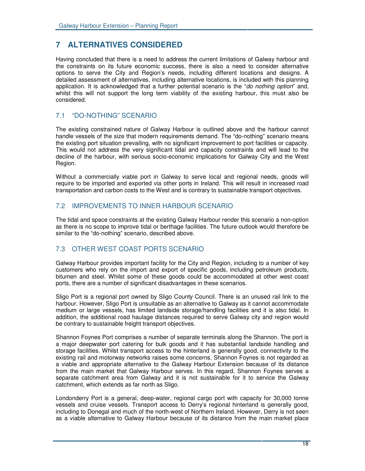# **7 ALTERNATIVES CONSIDERED**

Having concluded that there is a need to address the current limitations of Galway harbour and the constraints on its future economic success, there is also a need to consider alternative options to serve the City and Region's needs, including different locations and designs. A detailed assessment of alternatives, including alternative locations, is included with this planning application. It is acknowledged that a further potential scenario is the "*do nothing option*" and, whilst this will not support the long term viability of the existing harbour, this must also be considered.

## 7.1 "DO-NOTHING" SCENARIO

The existing constrained nature of Galway Harbour is outlined above and the harbour cannot handle vessels of the size that modern requirements demand. The "do-nothing" scenario means the existing port situation prevailing, with no significant improvement to port facilities or capacity. This would not address the very significant tidal and capacity constraints and will lead to the decline of the harbour, with serious socio-economic implications for Galway City and the West Region.

Without a commercially viable port in Galway to serve local and regional needs, goods will require to be imported and exported via other ports in Ireland. This will result in increased road transportation and carbon costs to the West and is contrary to sustainable transport objectives.

# 7.2 IMPROVEMENTS TO INNER HARBOUR SCENARIO

The tidal and space constraints at the existing Galway Harbour render this scenario a non-option as there is no scope to improve tidal or berthage facilities. The future outlook would therefore be similar to the "do-nothing" scenario, described above.

# 7.3 OTHER WEST COAST PORTS SCENARIO

Galway Harbour provides important facility for the City and Region, including to a number of key customers who rely on the import and export of specific goods, including petroleum products, bitumen and steel. Whilst some of these goods could be accommodated at other west coast ports, there are a number of significant disadvantages in these scenarios.

Sligo Port is a regional port owned by Sligo County Council. There is an unused rail link to the harbour. However, Sligo Port is unsuitable as an alternative to Galway as it cannot accommodate medium or large vessels, has limited landside storage/handling facilities and it is also tidal. In addition, the additional road haulage distances required to serve Galway city and region would be contrary to sustainable freight transport objectives.

Shannon Foynes Port comprises a number of separate terminals along the Shannon. The port is a major deepwater port catering for bulk goods and it has substantial landside handling and storage facilities. Whilst transport access to the hinterland is generally good, connectivity to the existing rail and motorway networks raises some concerns. Shannon Foynes is not regarded as a viable and appropriate alternative to the Galway Harbour Extension because of its distance from the main market that Galway Harbour serves. In this regard, Shannon Foynes serves a separate catchment area from Galway and it is not sustainable for it to service the Galway catchment, which extends as far north as Sligo.

Londonderry Port is a general, deep-water, regional cargo port with capacity for 30,000 tonne vessels and cruise vessels. Transport access to Derry's regional hinterland is generally good, including to Donegal and much of the north-west of Northern Ireland. However, Derry is not seen as a viable alternative to Galway Harbour because of its distance from the main market place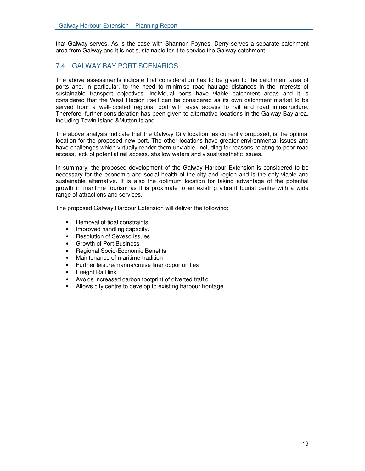that Galway serves. As is the case with Shannon Foynes, Derry serves a separate catchment area from Galway and it is not sustainable for it to service the Galway catchment.

# 7.4 GALWAY BAY PORT SCENARIOS

The above assessments indicate that consideration has to be given to the catchment area of ports and, in particular, to the need to minimise road haulage distances in the interests of sustainable transport objectives. Individual ports have viable catchment areas and it is considered that the West Region itself can be considered as its own catchment market to be served from a well-located regional port with easy access to rail and road infrastructure. Therefore, further consideration has been given to alternative locations in the Galway Bay area, including Tawin Island &Mutton Island

The above analysis indicate that the Galway City location, as currently proposed, is the optimal location for the proposed new port. The other locations have greater environmental issues and have challenges which virtually render them unviable, including for reasons relating to poor road access, lack of potential rail access, shallow waters and visual/aesthetic issues.

In summary, the proposed development of the Galway Harbour Extension is considered to be necessary for the economic and social health of the city and region and is the only viable and sustainable alternative. It is also the optimum location for taking advantage of the potential growth in maritime tourism as it is proximate to an existing vibrant tourist centre with a wide range of attractions and services.

The proposed Galway Harbour Extension will deliver the following:

- Removal of tidal constraints
- Improved handling capacity.
- Resolution of Seveso issues
- Growth of Port Business
- Regional Socio-Economic Benefits
- Maintenance of maritime tradition
- Further leisure/marina/cruise liner opportunities
- Freight Rail link
- Avoids increased carbon footprint of diverted traffic
- Allows city centre to develop to existing harbour frontage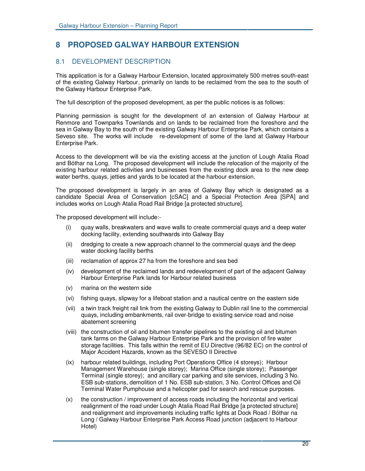# **8 PROPOSED GALWAY HARBOUR EXTENSION**

# 8.1 DEVELOPMENT DESCRIPTION

This application is for a Galway Harbour Extension, located approximately 500 metres south-east of the existing Galway Harbour, primarily on lands to be reclaimed from the sea to the south of the Galway Harbour Enterprise Park.

The full description of the proposed development, as per the public notices is as follows:

Planning permission is sought for the development of an extension of Galway Harbour at Renmore and Townparks Townlands and on lands to be reclaimed from the foreshore and the sea in Galway Bay to the south of the existing Galway Harbour Enterprise Park, which contains a Seveso site. The works will include re-development of some of the land at Galway Harbour Enterprise Park.

Access to the development will be via the existing access at the junction of Lough Atalia Road and Bóthar na Long. The proposed development will include the relocation of the majority of the existing harbour related activities and businesses from the existing dock area to the new deep water berths, quays, jetties and yards to be located at the harbour extension.

The proposed development is largely in an area of Galway Bay which is designated as a candidate Special Area of Conservation [cSAC] and a Special Protection Area [SPA] and includes works on Lough Atalia Road Rail Bridge [a protected structure].

The proposed development will include:-

- (i) quay walls, breakwaters and wave walls to create commercial quays and a deep water docking facility, extending southwards into Galway Bay
- (ii) dredging to create a new approach channel to the commercial quays and the deep water docking facility berths
- (iii) reclamation of approx 27 ha from the foreshore and sea bed
- (iv) development of the reclaimed lands and redevelopment of part of the adjacent Galway Harbour Enterprise Park lands for Harbour related business
- (v) marina on the western side
- (vi) fishing quays, slipway for a lifeboat station and a nautical centre on the eastern side
- (vii) a twin track freight rail link from the existing Galway to Dublin rail line to the commercial quays, including embankments, rail over-bridge to existing service road and noise abatement screening
- (viii) the construction of oil and bitumen transfer pipelines to the existing oil and bitumen tank farms on the Galway Harbour Enterprise Park and the provision of fire water storage facilities. This falls within the remit of EU Directive (96/82 EC) on the control of Major Accident Hazards, known as the SEVESO II Directive
- (ix) harbour related buildings, including Port Operations Office (4 storeys); Harbour Management Warehouse (single storey); Marina Office (single storey); Passenger Terminal (single storey); and ancillary car parking and site services, including 3 No. ESB sub-stations, demolition of 1 No. ESB sub-station, 3 No. Control Offices and Oil Terminal Water Pumphouse and a helicopter pad for search and rescue purposes.
- (x) the construction / improvement of access roads including the horizontal and vertical realignment of the road under Lough Atalia Road Rail Bridge [a protected structure] and realignment and improvements including traffic lights at Dock Road / Bóthar na Long / Galway Harbour Enterprise Park Access Road junction (adjacent to Harbour Hotel)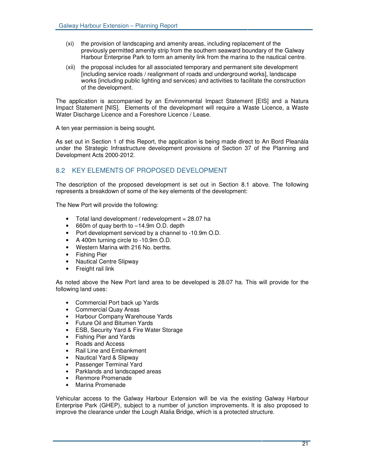- (xi) the provision of landscaping and amenity areas, including replacement of the previously permitted amenity strip from the southern seaward boundary of the Galway Harbour Enterprise Park to form an amenity link from the marina to the nautical centre.
- (xii) the proposal includes for all associated temporary and permanent site development [including service roads / realignment of roads and underground works], landscape works [including public lighting and services) and activities to facilitate the construction of the development.

The application is accompanied by an Environmental Impact Statement [EIS] and a Natura Impact Statement [NIS]. Elements of the development will require a Waste Licence, a Waste Water Discharge Licence and a Foreshore Licence / Lease.

A ten year permission is being sought.

As set out in Section 1 of this Report, the application is being made direct to An Bord Pleanála under the Strategic Infrastructure development provisions of Section 37 of the Planning and Development Acts 2000-2012.

# 8.2 KEY ELEMENTS OF PROPOSED DEVELOPMENT

The description of the proposed development is set out in Section 8.1 above. The following represents a breakdown of some of the key elements of the development:

The New Port will provide the following:

- Total land development / redevelopment = 28.07 ha
- 660m of quay berth to –14.9m O.D. depth
- Port development serviced by a channel to -10.9m O.D.
- A 400m turning circle to -10.9m O.D.
- Western Marina with 216 No. berths.
- Fishing Pier
- Nautical Centre Slipway
- Freight rail link

As noted above the New Port land area to be developed is 28.07 ha. This will provide for the following land uses:

- Commercial Port back up Yards
- Commercial Quay Areas
- Harbour Company Warehouse Yards
- Future Oil and Bitumen Yards
- ESB, Security Yard & Fire Water Storage
- Fishing Pier and Yards
- Roads and Access
- Rail Line and Embankment
- Nautical Yard & Slipway
- Passenger Terminal Yard
- Parklands and landscaped areas
- Renmore Promenade
- Marina Promenade

Vehicular access to the Galway Harbour Extension will be via the existing Galway Harbour Enterprise Park (GHEP), subject to a number of junction improvements. It is also proposed to improve the clearance under the Lough Atalia Bridge, which is a protected structure.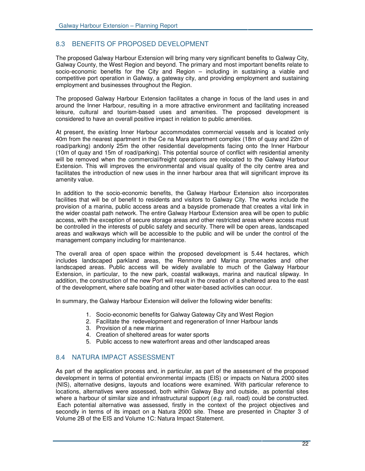## 8.3 BENEFITS OF PROPOSED DEVELOPMENT

The proposed Galway Harbour Extension will bring many very significant benefits to Galway City, Galway County, the West Region and beyond. The primary and most important benefits relate to socio-economic benefits for the City and Region – including in sustaining a viable and competitive port operation in Galway, a gateway city, and providing employment and sustaining employment and businesses throughout the Region.

The proposed Galway Harbour Extension facilitates a change in focus of the land uses in and around the Inner Harbour, resulting in a more attractive environment and facilitating increased leisure, cultural and tourism-based uses and amenities. The proposed development is considered to have an overall positive impact in relation to public amenities.

At present, the existing Inner Harbour accommodates commercial vessels and is located only 40m from the nearest apartment in the Ce na Mara apartment complex (18m of quay and 22m of road/parking) andonly 25m the other residential developments facing onto the Inner Harbour (10m of quay and 15m of road/parking). This potential source of conflict with residential amenity will be removed when the commercial/freight operations are relocated to the Galway Harbour Extension. This will improves the environmental and visual quality of the city centre area and facilitates the introduction of new uses in the inner harbour area that will significant improve its amenity value.

In addition to the socio-economic benefits, the Galway Harbour Extension also incorporates facilities that will be of benefit to residents and visitors to Galway City. The works include the provision of a marina, public access areas and a bayside promenade that creates a vital link in the wider coastal path network. The entire Galway Harbour Extension area will be open to public access, with the exception of secure storage areas and other restricted areas where access must be controlled in the interests of public safety and security. There will be open areas, landscaped areas and walkways which will be accessible to the public and will be under the control of the management company including for maintenance.

The overall area of open space within the proposed development is 5.44 hectares, which includes landscaped parkland areas, the Renmore and Marina promenades and other landscaped areas. Public access will be widely available to much of the Galway Harbour Extension, in particular, to the new park, coastal walkways, marina and nautical slipway. In addition, the construction of the new Port will result in the creation of a sheltered area to the east of the development, where safe boating and other water-based activities can occur.

In summary, the Galway Harbour Extension will deliver the following wider benefits:

- 1. Socio-economic benefits for Galway Gateway City and West Region
- 2. Facilitate the redevelopment and regeneration of Inner Harbour lands
- 3. Provision of a new marina
- 4. Creation of sheltered areas for water sports
- 5. Public access to new waterfront areas and other landscaped areas

## 8.4 NATURA IMPACT ASSESSMENT

As part of the application process and, in particular, as part of the assessment of the proposed development in terms of potential environmental impacts (EIS) or impacts on Natura 2000 sites (NIS), alternative designs, layouts and locations were examined. With particular reference to locations, alternatives were assessed, both within Galway Bay and outside, as potential sites where a harbour of similar size and infrastructural support (*e.g.* rail, road) could be constructed. Each potential alternative was assessed, firstly in the context of the project objectives and secondly in terms of its impact on a Natura 2000 site. These are presented in Chapter 3 of Volume 2B of the EIS and Volume 1C: Natura Impact Statement.